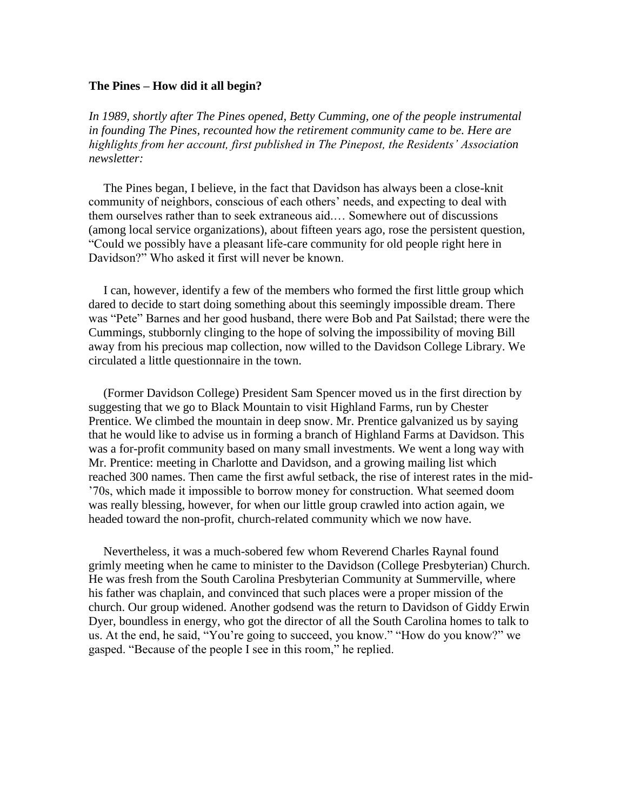## **The Pines – How did it all begin?**

*In 1989, shortly after The Pines opened, Betty Cumming, one of the people instrumental in founding The Pines, recounted how the retirement community came to be. Here are highlights from her account, first published in The Pinepost, the Residents' Association newsletter:* 

 The Pines began, I believe, in the fact that Davidson has always been a close-knit community of neighbors, conscious of each others' needs, and expecting to deal with them ourselves rather than to seek extraneous aid.… Somewhere out of discussions (among local service organizations), about fifteen years ago, rose the persistent question, "Could we possibly have a pleasant life-care community for old people right here in Davidson?" Who asked it first will never be known.

 I can, however, identify a few of the members who formed the first little group which dared to decide to start doing something about this seemingly impossible dream. There was "Pete" Barnes and her good husband, there were Bob and Pat Sailstad; there were the Cummings, stubbornly clinging to the hope of solving the impossibility of moving Bill away from his precious map collection, now willed to the Davidson College Library. We circulated a little questionnaire in the town.

 (Former Davidson College) President Sam Spencer moved us in the first direction by suggesting that we go to Black Mountain to visit Highland Farms, run by Chester Prentice. We climbed the mountain in deep snow. Mr. Prentice galvanized us by saying that he would like to advise us in forming a branch of Highland Farms at Davidson. This was a for-profit community based on many small investments. We went a long way with Mr. Prentice: meeting in Charlotte and Davidson, and a growing mailing list which reached 300 names. Then came the first awful setback, the rise of interest rates in the mid- '70s, which made it impossible to borrow money for construction. What seemed doom was really blessing, however, for when our little group crawled into action again, we headed toward the non-profit, church-related community which we now have.

 Nevertheless, it was a much-sobered few whom Reverend Charles Raynal found grimly meeting when he came to minister to the Davidson (College Presbyterian) Church. He was fresh from the South Carolina Presbyterian Community at Summerville, where his father was chaplain, and convinced that such places were a proper mission of the church. Our group widened. Another godsend was the return to Davidson of Giddy Erwin Dyer, boundless in energy, who got the director of all the South Carolina homes to talk to us. At the end, he said, "You're going to succeed, you know." "How do you know?" we gasped. "Because of the people I see in this room," he replied.